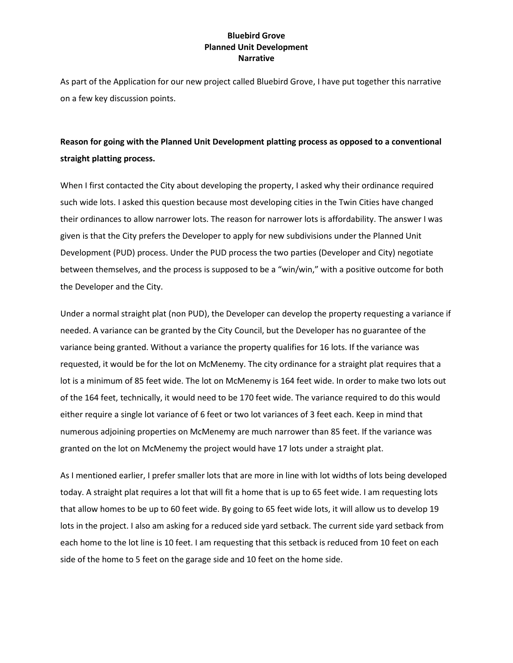## **Bluebird Grove Planned Unit Development Narrative**

As part of the Application for our new project called Bluebird Grove, I have put together this narrative on a few key discussion points.

# **Reason for going with the Planned Unit Development platting process as opposed to a conventional straight platting process.**

When I first contacted the City about developing the property, I asked why their ordinance required such wide lots. I asked this question because most developing cities in the Twin Cities have changed their ordinances to allow narrower lots. The reason for narrower lots is affordability. The answer I was given is that the City prefers the Developer to apply for new subdivisions under the Planned Unit Development (PUD) process. Under the PUD process the two parties (Developer and City) negotiate between themselves, and the process is supposed to be a "win/win," with a positive outcome for both the Developer and the City.

Under a normal straight plat (non PUD), the Developer can develop the property requesting a variance if needed. A variance can be granted by the City Council, but the Developer has no guarantee of the variance being granted. Without a variance the property qualifies for 16 lots. If the variance was requested, it would be for the lot on McMenemy. The city ordinance for a straight plat requires that a lot is a minimum of 85 feet wide. The lot on McMenemy is 164 feet wide. In order to make two lots out of the 164 feet, technically, it would need to be 170 feet wide. The variance required to do this would either require a single lot variance of 6 feet or two lot variances of 3 feet each. Keep in mind that numerous adjoining properties on McMenemy are much narrower than 85 feet. If the variance was granted on the lot on McMenemy the project would have 17 lots under a straight plat.

As I mentioned earlier, I prefer smaller lots that are more in line with lot widths of lots being developed today. A straight plat requires a lot that will fit a home that is up to 65 feet wide. I am requesting lots that allow homes to be up to 60 feet wide. By going to 65 feet wide lots, it will allow us to develop 19 lots in the project. I also am asking for a reduced side yard setback. The current side yard setback from each home to the lot line is 10 feet. I am requesting that this setback is reduced from 10 feet on each side of the home to 5 feet on the garage side and 10 feet on the home side.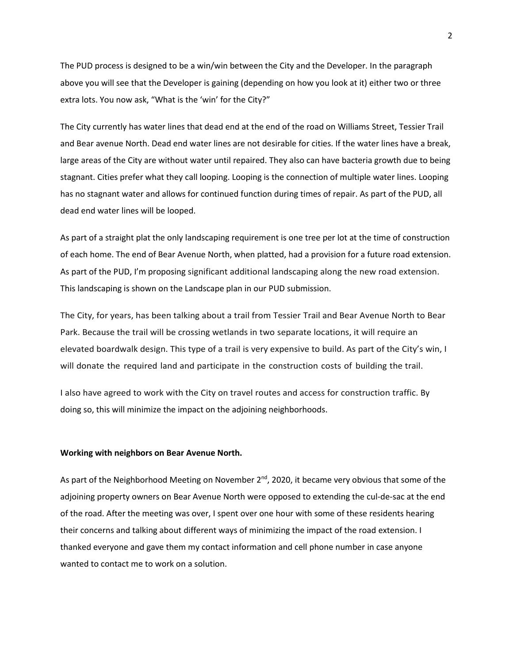The PUD process is designed to be a win/win between the City and the Developer. In the paragraph above you will see that the Developer is gaining (depending on how you look at it) either two or three extra lots. You now ask, "What is the 'win' for the City?"

The City currently has water lines that dead end at the end of the road on Williams Street, Tessier Trail and Bear avenue North. Dead end water lines are not desirable for cities. If the water lines have a break, large areas of the City are without water until repaired. They also can have bacteria growth due to being stagnant. Cities prefer what they call looping. Looping is the connection of multiple water lines. Looping has no stagnant water and allows for continued function during times of repair. As part of the PUD, all dead end water lines will be looped.

As part of a straight plat the only landscaping requirement is one tree per lot at the time of construction of each home. The end of Bear Avenue North, when platted, had a provision for a future road extension. As part of the PUD, I'm proposing significant additional landscaping along the new road extension. This landscaping is shown on the Landscape plan in our PUD submission.

The City, for years, has been talking about a trail from Tessier Trail and Bear Avenue North to Bear Park. Because the trail will be crossing wetlands in two separate locations, it will require an elevated boardwalk design. This type of a trail is very expensive to build. As part of the City's win, I will donate the required land and participate in the construction costs of building the trail.

I also have agreed to work with the City on travel routes and access for construction traffic. By doing so, this will minimize the impact on the adjoining neighborhoods.

#### **Working with neighbors on Bear Avenue North.**

As part of the Neighborhood Meeting on November  $2^{nd}$ , 2020, it became very obvious that some of the adjoining property owners on Bear Avenue North were opposed to extending the cul-de-sac at the end of the road. After the meeting was over, I spent over one hour with some of these residents hearing their concerns and talking about different ways of minimizing the impact of the road extension. I thanked everyone and gave them my contact information and cell phone number in case anyone wanted to contact me to work on a solution.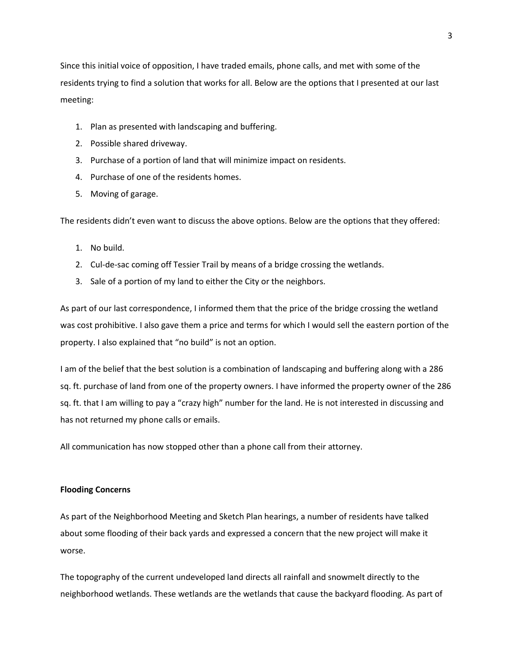Since this initial voice of opposition, I have traded emails, phone calls, and met with some of the residents trying to find a solution that works for all. Below are the options that I presented at our last meeting:

- 1. Plan as presented with landscaping and buffering.
- 2. Possible shared driveway.
- 3. Purchase of a portion of land that will minimize impact on residents.
- 4. Purchase of one of the residents homes.
- 5. Moving of garage.

The residents didn't even want to discuss the above options. Below are the options that they offered:

- 1. No build.
- 2. Cul-de-sac coming off Tessier Trail by means of a bridge crossing the wetlands.
- 3. Sale of a portion of my land to either the City or the neighbors.

As part of our last correspondence, I informed them that the price of the bridge crossing the wetland was cost prohibitive. I also gave them a price and terms for which I would sell the eastern portion of the property. I also explained that "no build" is not an option.

I am of the belief that the best solution is a combination of landscaping and buffering along with a 286 sq. ft. purchase of land from one of the property owners. I have informed the property owner of the 286 sq. ft. that I am willing to pay a "crazy high" number for the land. He is not interested in discussing and has not returned my phone calls or emails.

All communication has now stopped other than a phone call from their attorney.

### **Flooding Concerns**

As part of the Neighborhood Meeting and Sketch Plan hearings, a number of residents have talked about some flooding of their back yards and expressed a concern that the new project will make it worse.

The topography of the current undeveloped land directs all rainfall and snowmelt directly to the neighborhood wetlands. These wetlands are the wetlands that cause the backyard flooding. As part of